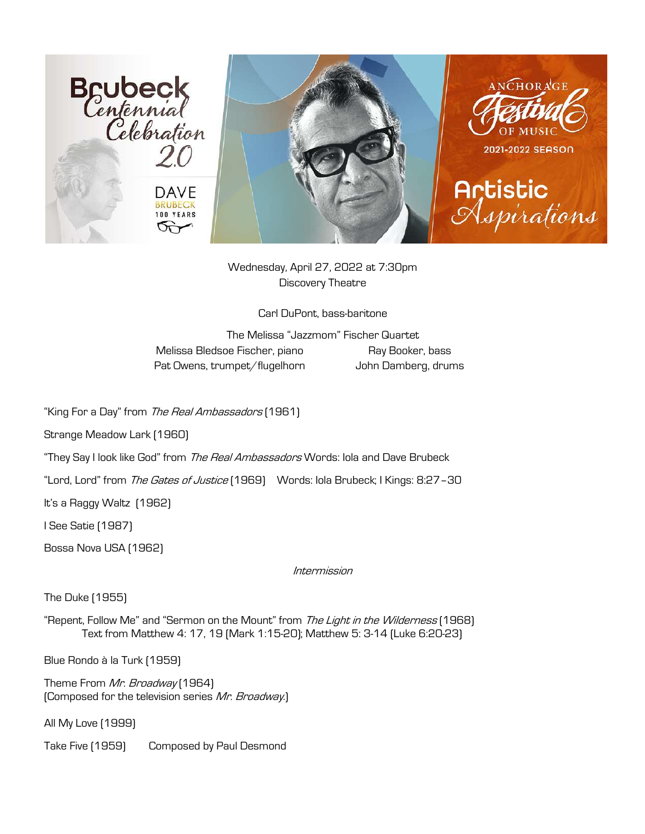

Wednesday, April 27, 2022 at 7:30pm Discovery Theatre

Carl DuPont, bass-baritone

The Melissa "Jazzmom" Fischer Quartet Melissa Bledsoe Fischer, piano Ray Booker, bass Pat Owens, trumpet/flugelhorn John Damberg, drums

"King For a Day" from The Real Ambassadors [1961]

Strange Meadow Lark (1960)

"They Say I look like God" from The Real Ambassadors Words: Iola and Dave Brubeck

"Lord, Lord" from The Gates of Justice [1969] Words: Iola Brubeck; I Kings: 8:27-30

It's a Raggy Waltz (1962)

I See Satie (1987)

Bossa Nova USA (1962)

Intermission

The Duke (1955)

"Repent, Follow Me" and "Sermon on the Mount" from The Light in the Wilderness [1968] Text from Matthew 4: 17, 19 (Mark 1:15-20); Matthew 5: 3-14 (Luke 6:20-23)

Blue Rondo à la Turk (1959)

Theme From Mr. Broadway (1964) (Composed for the television series Mr. Broadway.)

All My Love (1999)

Take Five (1959) Composed by Paul Desmond